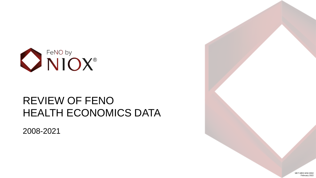

#### REVIEW OF FENO HEALTH ECONOMICS DATA

2008-2021

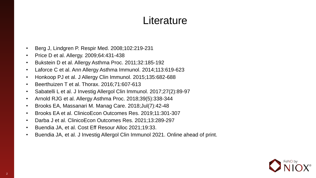#### **Literature**

- Berg J, Lindgren P. Respir Med. 2008;102:219-231
- Price D et al. Allergy. 2009;64:431-438
- Bukstein D et al. Allergy Asthma Proc. 2011;32:185-192
- Laforce C et al. Ann Allergy Asthma Immunol. 2014;113:619-623
- Honkoop PJ et al. J Allergy Clin Immunol. 2015;135:682-688
- Beerthuizen T et al. Thorax. 2016;71:607-613
- Sabatelli L et al. J Investig Allergol Clin Immunol. 2017;27(2):89-97
- Arnold RJG et al. Allergy Asthma Proc. 2018;39(5):338-344
- Brooks EA, Massanari M. Manag Care. 2018;Jul(7):42-48
- Brooks EA et al. ClinicoEcon Outcomes Res. 2019;11:301-307
- Darba J et al. ClinicoEcon Outcomes Res. 2021;13:289-297
- Buendia JA, et al. Cost Eff Resour Alloc 2021;19:33.
- Buendia JA, et al. J Investig Allergol Clin Immunol 2021. Online ahead of print.

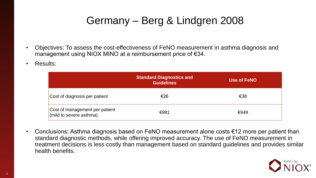# Germany – Berg & Lindgren 2008

- Objectives: To assess the cost-effectiveness of FeNO measurement in asthma diagnosis and management using NIOX MINO at a reimbursement price of €34.
- Results:

|                                                           | <b>Standard Diagnostics and</b><br><b>Guidelines</b> | Use of FeNO |
|-----------------------------------------------------------|------------------------------------------------------|-------------|
| Cost of diagnosis per patient                             | €26                                                  | €38         |
| Cost of management per patient<br>(mild to severe asthma) | €981                                                 | €949        |

• Conclusions: Asthma diagnosis based on FeNO measurement alone costs €12 more per patient than standard diagnostic methods, while offering improved accuracy. The use of FeNO measurement in treatment decisions is less costly than management based on standard guidelines and provides similar health benefits.

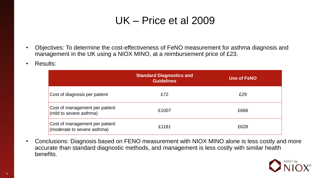# UK – Price et al 2009

- Objectives: To determine the cost-effectiveness of FeNO measurement for asthma diagnosis and management in the UK using a NIOX MINO, at a reimbursement price of £23.
- Results:

|                                                               | <b>Standard Diagnostics and</b><br><b>Guidelines</b> | <b>Use of FeNO</b> |
|---------------------------------------------------------------|------------------------------------------------------|--------------------|
| Cost of diagnosis per patient                                 | £72                                                  | £29                |
| Cost of management per patient<br>(mild to severe asthma)     | £1007                                                | £666               |
| Cost of management per patient<br>(moderate to severe asthma) | £1181                                                | £628               |

• Conclusions: Diagnosis based on FENO measurement with NIOX MINO alone is less costly and more accurate than standard diagnostic methods, and management is less costly with similar health benefits.

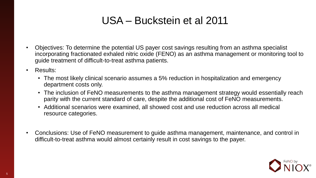# USA – Buckstein et al 2011

- Objectives: To determine the potential US payer cost savings resulting from an asthma specialist incorporating fractionated exhaled nitric oxide (FENO) as an asthma management or monitoring tool to guide treatment of difficult-to-treat asthma patients.
- Results:
	- The most likely clinical scenario assumes a 5% reduction in hospitalization and emergency department costs only.
	- The inclusion of FeNO measurements to the asthma management strategy would essentially reach parity with the current standard of care, despite the additional cost of FeNO measurements.
	- Additional scenarios were examined, all showed cost and use reduction across all medical resource categories.
- Conclusions: Use of FeNO measurement to guide asthma management, maintenance, and control in difficult-to-treat asthma would almost certainly result in cost savings to the payer.

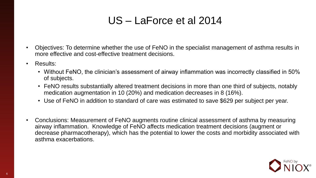# US – LaForce et al 2014

- Objectives: To determine whether the use of FeNO in the specialist management of asthma results in more effective and cost-effective treatment decisions.
- Results:
	- Without FeNO, the clinician's assessment of airway inflammation was incorrectly classified in 50% of subjects.
	- FeNO results substantially altered treatment decisions in more than one third of subjects, notably medication augmentation in 10 (20%) and medication decreases in 8 (16%).
	- Use of FeNO in addition to standard of care was estimated to save \$629 per subject per year.
- Conclusions: Measurement of FeNO augments routine clinical assessment of asthma by measuring airway inflammation. Knowledge of FeNO affects medication treatment decisions (augment or decrease pharmacotherapy), which has the potential to lower the costs and morbidity associated with asthma exacerbations.

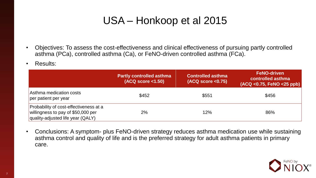# USA – Honkoop et al 2015

- Objectives: To assess the cost-effectiveness and clinical effectiveness of pursuing partly controlled asthma (PCa), controlled asthma (Ca), or FeNO-driven controlled asthma (FCa).
- Results:

|                                                                                                                   | <b>Partly controlled asthma</b><br>(ACQ score < 1.50) | <b>Controlled asthma</b><br>(ACQ score < 0.75) | <b>FeNO-driven</b><br>controlled asthma<br>$(ACQ < 0.75,$ FeNO $< 25$ ppb) |
|-------------------------------------------------------------------------------------------------------------------|-------------------------------------------------------|------------------------------------------------|----------------------------------------------------------------------------|
| Asthma medication costs<br>per patient per year                                                                   | \$452                                                 | \$551                                          | \$456                                                                      |
| Probability of cost-effectiveness at a<br>willingness to pay of \$50,000 per<br>quality-adjusted life year (QALY) | 2%                                                    | 12%                                            | 86%                                                                        |

• Conclusions: A symptom- plus FeNO-driven strategy reduces asthma medication use while sustaining asthma control and quality of life and is the preferred strategy for adult asthma patients in primary care.

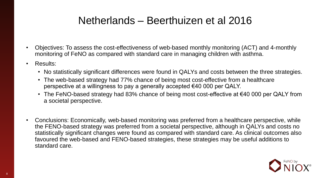### Netherlands – Beerthuizen et al 2016

- Objectives: To assess the cost-effectiveness of web-based monthly monitoring (ACT) and 4-monthly monitoring of FeNO as compared with standard care in managing children with asthma.
- Results:
	- No statistically significant differences were found in QALYs and costs between the three strategies.
	- The web-based strategy had 77% chance of being most cost-effective from a healthcare perspective at a willingness to pay a generally accepted €40 000 per QALY.
	- The FeNO-based strategy had 83% chance of being most cost-effective at €40 000 per QALY from a societal perspective.
- Conclusions: Economically, web-based monitoring was preferred from a healthcare perspective, while the FENO-based strategy was preferred from a societal perspective, although in QALYs and costs no statistically significant changes were found as compared with standard care. As clinical outcomes also favoured the web-based and FENO-based strategies, these strategies may be useful additions to standard care.

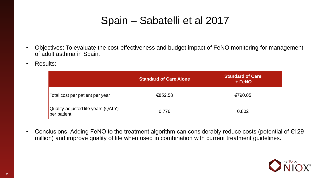### Spain – Sabatelli et al 2017

- Objectives: To evaluate the cost-effectiveness and budget impact of FeNO monitoring for management of adult asthma in Spain.
- Results:

|                                                   | <b>Standard of Care Alone</b> | <b>Standard of Care</b><br>$+$ FeNO |
|---------------------------------------------------|-------------------------------|-------------------------------------|
| Total cost per patient per year                   | €852.58                       | €790.05                             |
| Quality-adjusted life years (QALY)<br>per patient | 0.776                         | 0.802                               |

• Conclusions: Adding FeNO to the treatment algorithm can considerably reduce costs (potential of €129 million) and improve quality of life when used in combination with current treatment guidelines.

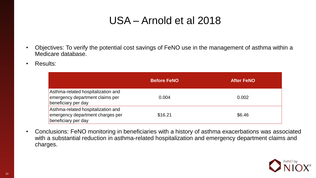# USA – Arnold et al 2018

- Objectives: To verify the potential cost savings of FeNO use in the management of asthma within a Medicare database.
- Results:

|                                                                                               | <b>Before FeNO</b> | <b>After FeNO</b> |
|-----------------------------------------------------------------------------------------------|--------------------|-------------------|
| Asthma-related hospitalization and<br>emergency department claims per<br>beneficiary per day  | 0.004              | 0.002             |
| Asthma-related hospitalization and<br>emergency department charges per<br>beneficiary per day | \$16.21            | \$6.46            |

• Conclusions: FeNO monitoring in beneficiaries with a history of asthma exacerbations was associated with a substantial reduction in asthma-related hospitalization and emergency department claims and charges.

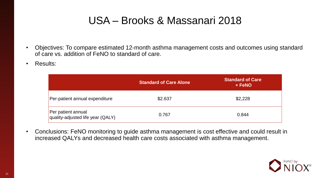### USA – Brooks & Massanari 2018

- Objectives: To compare estimated 12-month asthma management costs and outcomes using standard of care vs. addition of FeNO to standard of care.
- Results:

|                                                         | <b>Standard of Care Alone</b> | <b>Standard of Care</b><br>+ FeNO |
|---------------------------------------------------------|-------------------------------|-----------------------------------|
| Per-patient annual expenditure                          | \$2.637                       | \$2,228                           |
| Per patient annual<br>quality-adjusted life year (QALY) | 0.767                         | 0.844                             |

• Conclusions: FeNO monitoring to guide asthma management is cost effective and could result in increased QALYs and decreased health care costs associated with asthma management.

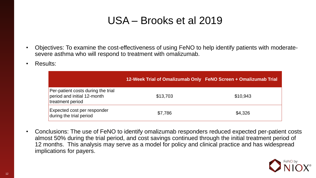### USA – Brooks et al 2019

- Objectives: To examine the cost-effectiveness of using FeNO to help identify patients with moderatesevere asthma who will respond to treatment with omalizumab.
- Results:

|                                                                                       | 12-Week Trial of Omalizumab Only FeNO Screen + Omalizumab Trial |          |
|---------------------------------------------------------------------------------------|-----------------------------------------------------------------|----------|
| Per-patient costs during the trial<br>period and initial 12-month<br>treatment period | \$13,703                                                        | \$10,943 |
| Expected cost per responder<br>during the trial period                                | \$7,786                                                         | \$4,326  |

• Conclusions: The use of FeNO to identify omalizumab responders reduced expected per-patient costs almost 50% during the trial period, and cost savings continued through the initial treatment period of 12 months. This analysis may serve as a model for policy and clinical practice and has widespread implications for payers.

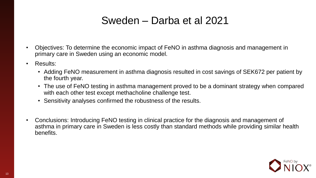### Sweden – Darba et al 2021

- Objectives: To determine the economic impact of FeNO in asthma diagnosis and management in primary care in Sweden using an economic model.
- Results:
	- Adding FeNO measurement in asthma diagnosis resulted in cost savings of SEK672 per patient by the fourth year.
	- The use of FeNO testing in asthma management proved to be a dominant strategy when compared with each other test except methacholine challenge test.
	- Sensitivity analyses confirmed the robustness of the results.
- Conclusions: Introducing FeNO testing in clinical practice for the diagnosis and management of asthma in primary care in Sweden is less costly than standard methods while providing similar health benefits.

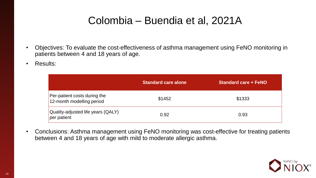### Colombia – Buendia et al, 2021A

- Objectives: To evaluate the cost-effectiveness of asthma management using FeNO monitoring in patients between 4 and 18 years of age.
- Results:

|                                                           | <b>Standard care alone</b> | <b>Standard care + FeNO</b> |
|-----------------------------------------------------------|----------------------------|-----------------------------|
| Per-patient costs during the<br>12-month modelling period | \$1452                     | \$1333                      |
| Quality-adjusted life years (QALY)<br>per patient         | 0.92                       | 0.93                        |

• Conclusions: Asthma management using FeNO monitoring was cost-effective for treating patients between 4 and 18 years of age with mild to moderate allergic asthma.

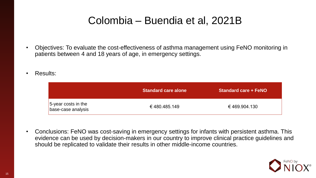### Colombia – Buendia et al, 2021B

- Objectives: To evaluate the cost-effectiveness of asthma management using FeNO monitoring in patients between 4 and 18 years of age, in emergency settings.
- Results:

|                                           | Standard care alone | <b>Standard care + FeNO</b> |
|-------------------------------------------|---------------------|-----------------------------|
| 5-year costs in the<br>base-case analysis | € 480.485.149       | €469.904.130                |

• Conclusions: FeNO was cost-saving in emergency settings for infants with persistent asthma. This evidence can be used by decision-makers in our country to improve clinical practice guidelines and should be replicated to validate their results in other middle-income countries.